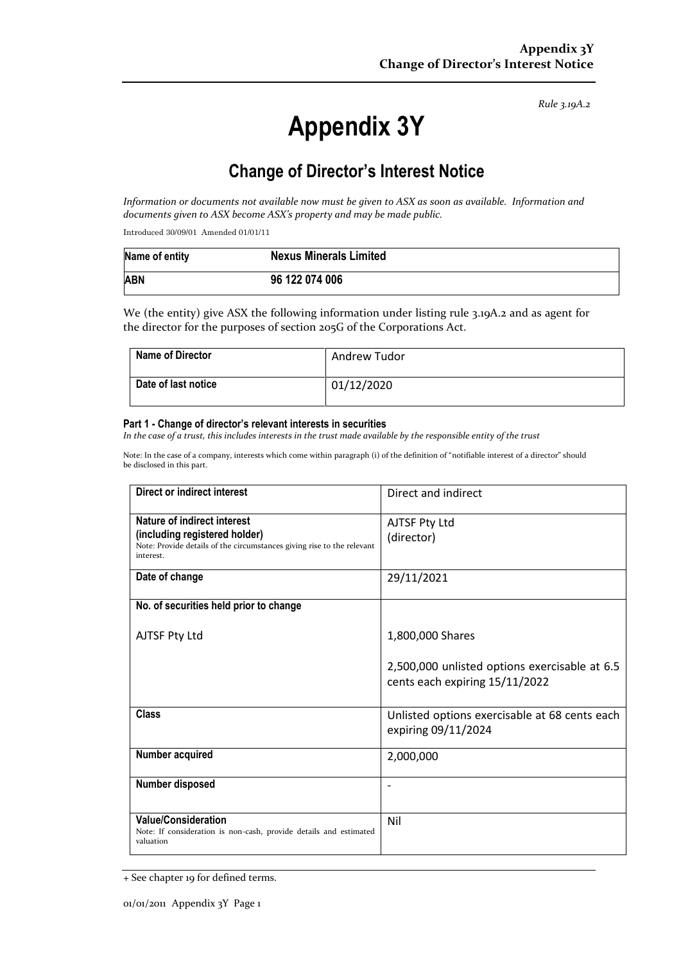# **Appendix 3Y**

## **Change of Director's Interest Notice**

*Information or documents not available now must be given to ASX as soon as available. Information and documents given to ASX become ASX's property and may be made public.*

Introduced 30/09/01 Amended 01/01/11

| Name of entity | <b>Nexus Minerals Limited</b> |
|----------------|-------------------------------|
| <b>ABN</b>     | 96 122 074 006                |

We (the entity) give ASX the following information under listing rule 3.19A.2 and as agent for the director for the purposes of section 205G of the Corporations Act.

| Name of Director    | Andrew Tudor |
|---------------------|--------------|
| Date of last notice | 01/12/2020   |

#### **Part 1 - Change of director's relevant interests in securities**

*In the case of a trust, this includes interests in the trust made available by the responsible entity of the trust*

Note: In the case of a company, interests which come within paragraph (i) of the definition of "notifiable interest of a director" should be disclosed in this part.

| <b>Direct or indirect interest</b>                                                                                                                  | Direct and indirect                                                             |
|-----------------------------------------------------------------------------------------------------------------------------------------------------|---------------------------------------------------------------------------------|
| Nature of indirect interest<br>(including registered holder)<br>Note: Provide details of the circumstances giving rise to the relevant<br>interest. | AJTSF Pty Ltd<br>(director)                                                     |
| Date of change                                                                                                                                      | 29/11/2021                                                                      |
| No. of securities held prior to change                                                                                                              |                                                                                 |
| AJTSF Pty Ltd                                                                                                                                       | 1,800,000 Shares                                                                |
|                                                                                                                                                     | 2,500,000 unlisted options exercisable at 6.5<br>cents each expiring 15/11/2022 |
| <b>Class</b>                                                                                                                                        | Unlisted options exercisable at 68 cents each<br>expiring 09/11/2024            |
| Number acquired                                                                                                                                     | 2,000,000                                                                       |
| Number disposed                                                                                                                                     |                                                                                 |
| <b>Value/Consideration</b><br>Note: If consideration is non-cash, provide details and estimated<br>valuation                                        | Nil                                                                             |

<sup>+</sup> See chapter 19 for defined terms.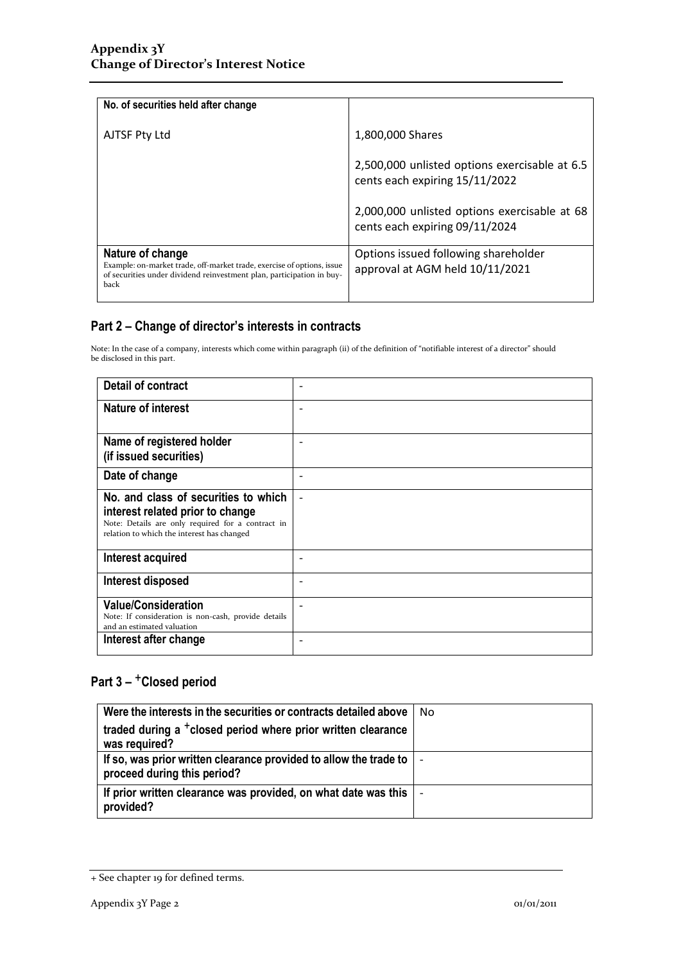| No. of securities held after change                                                                                                                                         |                                                                                 |
|-----------------------------------------------------------------------------------------------------------------------------------------------------------------------------|---------------------------------------------------------------------------------|
| AJTSF Pty Ltd                                                                                                                                                               | 1,800,000 Shares                                                                |
|                                                                                                                                                                             | 2,500,000 unlisted options exercisable at 6.5<br>cents each expiring 15/11/2022 |
|                                                                                                                                                                             | 2,000,000 unlisted options exercisable at 68<br>cents each expiring 09/11/2024  |
| Nature of change<br>Example: on-market trade, off-market trade, exercise of options, issue<br>of securities under dividend reinvestment plan, participation in buy-<br>back | Options issued following shareholder<br>approval at AGM held 10/11/2021         |

Note: In the case of a company, interests which come within paragraph (ii) of the definition of "notifiable interest of a director" should be disclosed in this part.

| Detail of contract                                                                                                                                                          |                          |
|-----------------------------------------------------------------------------------------------------------------------------------------------------------------------------|--------------------------|
| <b>Nature of interest</b>                                                                                                                                                   | $\overline{\phantom{a}}$ |
| Name of registered holder<br>(if issued securities)                                                                                                                         |                          |
| Date of change                                                                                                                                                              |                          |
| No. and class of securities to which<br>interest related prior to change<br>Note: Details are only required for a contract in<br>relation to which the interest has changed |                          |
| Interest acquired                                                                                                                                                           |                          |
| Interest disposed                                                                                                                                                           |                          |
| <b>Value/Consideration</b><br>Note: If consideration is non-cash, provide details<br>and an estimated valuation<br>Interest after change                                    |                          |
|                                                                                                                                                                             |                          |

| Were the interests in the securities or contracts detailed above                                   | No |
|----------------------------------------------------------------------------------------------------|----|
| traded during a <sup>+</sup> closed period where prior written clearance<br>was required?          |    |
| If so, was prior written clearance provided to allow the trade to  <br>proceed during this period? |    |
| If prior written clearance was provided, on what date was this $\vert$ -<br>provided?              |    |

<sup>+</sup> See chapter 19 for defined terms.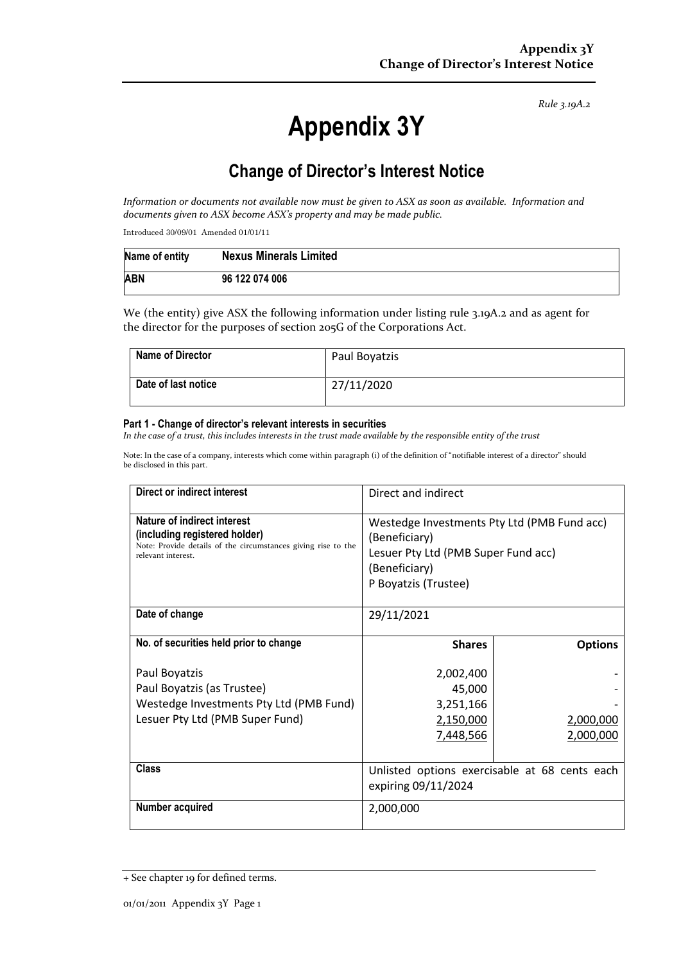# **Appendix 3Y**

## **Change of Director's Interest Notice**

*Information or documents not available now must be given to ASX as soon as available. Information and documents given to ASX become ASX's property and may be made public.*

Introduced 30/09/01 Amended 01/01/11

| Name of entity | <b>Nexus Minerals Limited</b> |
|----------------|-------------------------------|
| <b>ABN</b>     | 96 122 074 006                |

We (the entity) give ASX the following information under listing rule 3.19A.2 and as agent for the director for the purposes of section 205G of the Corporations Act.

| <b>Name of Director</b> | Paul Boyatzis |
|-------------------------|---------------|
| Date of last notice     | 27/11/2020    |

#### **Part 1 - Change of director's relevant interests in securities**

*In the case of a trust, this includes interests in the trust made available by the responsible entity of the trust*

Note: In the case of a company, interests which come within paragraph (i) of the definition of "notifiable interest of a director" should be disclosed in this part.

| Direct or indirect interest                                                                                                                         | Direct and indirect                                                                                                                          |                |
|-----------------------------------------------------------------------------------------------------------------------------------------------------|----------------------------------------------------------------------------------------------------------------------------------------------|----------------|
| Nature of indirect interest<br>(including registered holder)<br>Note: Provide details of the circumstances giving rise to the<br>relevant interest. | Westedge Investments Pty Ltd (PMB Fund acc)<br>(Beneficiary)<br>Lesuer Pty Ltd (PMB Super Fund acc)<br>(Beneficiary)<br>P Boyatzis (Trustee) |                |
| Date of change                                                                                                                                      | 29/11/2021                                                                                                                                   |                |
| No. of securities held prior to change                                                                                                              | <b>Shares</b>                                                                                                                                | <b>Options</b> |
| Paul Boyatzis                                                                                                                                       | 2,002,400                                                                                                                                    |                |
| Paul Boyatzis (as Trustee)                                                                                                                          | 45,000                                                                                                                                       |                |
| Westedge Investments Pty Ltd (PMB Fund)                                                                                                             | 3,251,166                                                                                                                                    |                |
| Lesuer Pty Ltd (PMB Super Fund)                                                                                                                     | 2,150,000                                                                                                                                    | 2,000,000      |
|                                                                                                                                                     | 7,448,566                                                                                                                                    | 2,000,000      |
| Class                                                                                                                                               | Unlisted options exercisable at 68 cents each<br>expiring 09/11/2024                                                                         |                |
| Number acquired                                                                                                                                     | 2,000,000                                                                                                                                    |                |

<sup>+</sup> See chapter 19 for defined terms.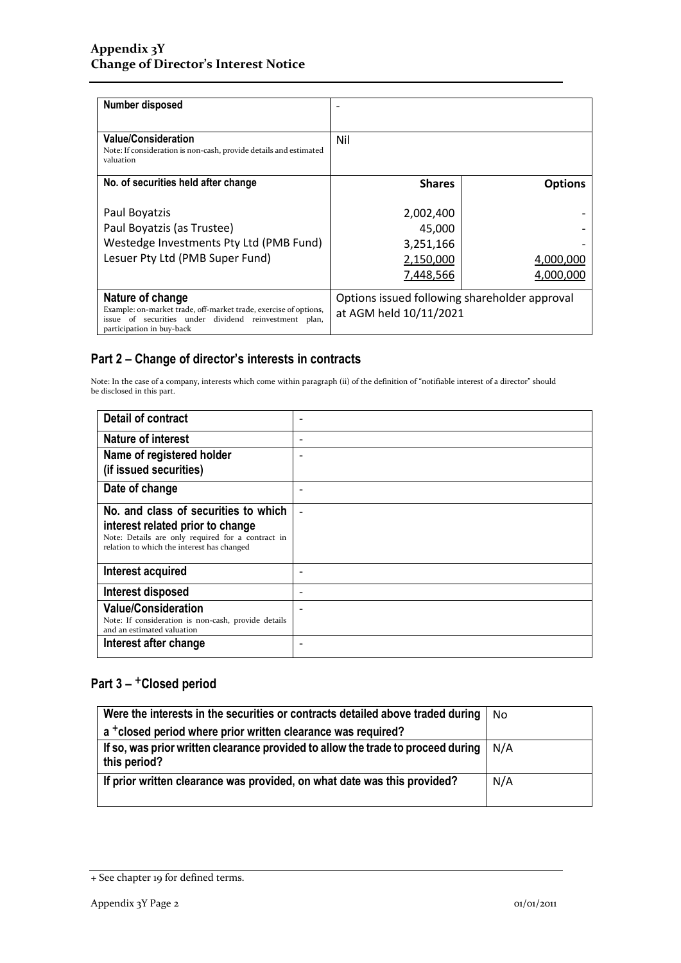| Number disposed                                                                                                                                                            |                                                                         |                        |
|----------------------------------------------------------------------------------------------------------------------------------------------------------------------------|-------------------------------------------------------------------------|------------------------|
| <b>Value/Consideration</b><br>Note: If consideration is non-cash, provide details and estimated<br>valuation                                                               | Nil                                                                     |                        |
| No. of securities held after change                                                                                                                                        | <b>Shares</b>                                                           | <b>Options</b>         |
| Paul Boyatzis<br>Paul Boyatzis (as Trustee)                                                                                                                                | 2,002,400<br>45,000                                                     |                        |
| Westedge Investments Pty Ltd (PMB Fund)                                                                                                                                    | 3,251,166                                                               |                        |
| Lesuer Pty Ltd (PMB Super Fund)                                                                                                                                            | 2,150,000<br>7,448,566                                                  | 4,000,000<br>4.000.000 |
| Nature of change<br>Example: on-market trade, off-market trade, exercise of options,<br>issue of securities under dividend reinvestment plan,<br>participation in buy-back | Options issued following shareholder approval<br>at AGM held 10/11/2021 |                        |

Note: In the case of a company, interests which come within paragraph (ii) of the definition of "notifiable interest of a director" should be disclosed in this part.

| <b>Detail of contract</b>                                                                       |   |
|-------------------------------------------------------------------------------------------------|---|
| <b>Nature of interest</b>                                                                       | ٠ |
| Name of registered holder                                                                       |   |
| (if issued securities)                                                                          |   |
| Date of change                                                                                  |   |
| No. and class of securities to which                                                            |   |
| interest related prior to change                                                                |   |
| Note: Details are only required for a contract in<br>relation to which the interest has changed |   |
|                                                                                                 |   |
| Interest acquired                                                                               |   |
| Interest disposed                                                                               |   |
| <b>Value/Consideration</b>                                                                      |   |
| Note: If consideration is non-cash, provide details<br>and an estimated valuation               |   |
| Interest after change                                                                           |   |

| Were the interests in the securities or contracts detailed above traded during                   | No  |
|--------------------------------------------------------------------------------------------------|-----|
| a <sup>+</sup> closed period where prior written clearance was required?                         |     |
| If so, was prior written clearance provided to allow the trade to proceed during<br>this period? | N/A |
| If prior written clearance was provided, on what date was this provided?                         | N/A |

<sup>+</sup> See chapter 19 for defined terms.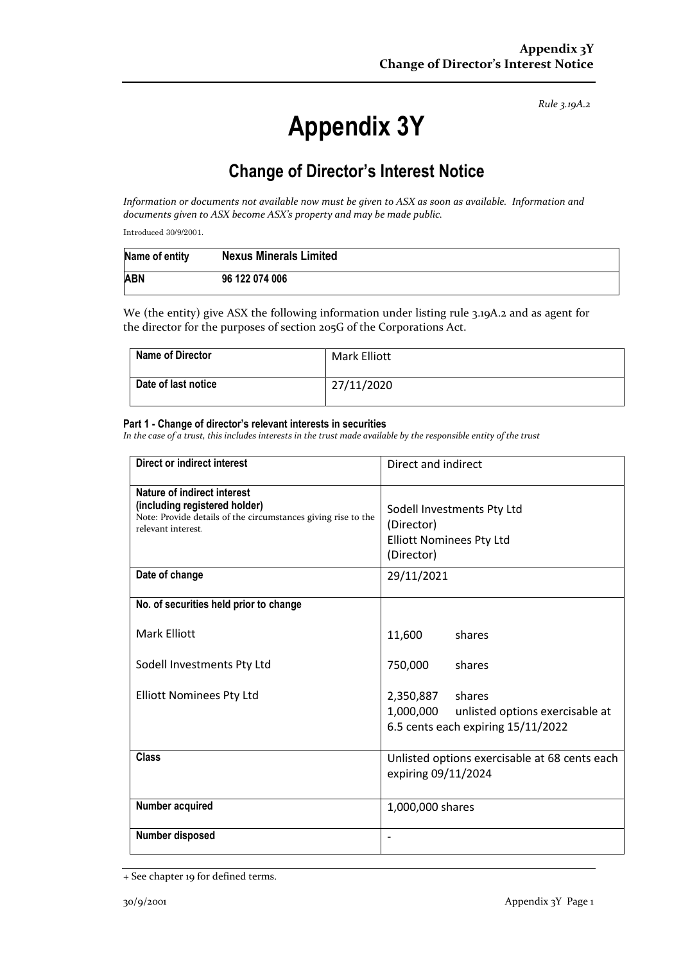# **Appendix 3Y**

## **Change of Director's Interest Notice**

*Information or documents not available now must be given to ASX as soon as available. Information and documents given to ASX become ASX's property and may be made public.*

Introduced 30/9/2001.

| Name of entity | <b>Nexus Minerals Limited</b> |
|----------------|-------------------------------|
| <b>ABN</b>     | 96 122 074 006                |

We (the entity) give ASX the following information under listing rule 3.19A.2 and as agent for the director for the purposes of section 205G of the Corporations Act.

| Name of Director    | Mark Elliott |
|---------------------|--------------|
| Date of last notice | 27/11/2020   |

#### **Part 1 - Change of director's relevant interests in securities**

*In the case of a trust, this includes interests in the trust made available by the responsible entity of the trust*

| <b>Direct or indirect interest</b>                                                                                                                  | Direct and indirect                                                                                    |  |
|-----------------------------------------------------------------------------------------------------------------------------------------------------|--------------------------------------------------------------------------------------------------------|--|
| Nature of indirect interest<br>(including registered holder)<br>Note: Provide details of the circumstances giving rise to the<br>relevant interest. | Sodell Investments Pty Ltd<br>(Director)<br><b>Elliott Nominees Pty Ltd</b><br>(Director)              |  |
| Date of change                                                                                                                                      | 29/11/2021                                                                                             |  |
| No. of securities held prior to change                                                                                                              |                                                                                                        |  |
| <b>Mark Elliott</b>                                                                                                                                 | 11,600<br>shares                                                                                       |  |
| Sodell Investments Pty Ltd                                                                                                                          | 750,000<br>shares                                                                                      |  |
| <b>Elliott Nominees Pty Ltd</b>                                                                                                                     | 2,350,887 shares<br>1,000,000<br>unlisted options exercisable at<br>6.5 cents each expiring 15/11/2022 |  |
| <b>Class</b>                                                                                                                                        | Unlisted options exercisable at 68 cents each<br>expiring 09/11/2024                                   |  |
| Number acquired                                                                                                                                     | 1,000,000 shares                                                                                       |  |
| Number disposed                                                                                                                                     |                                                                                                        |  |

<sup>+</sup> See chapter 19 for defined terms.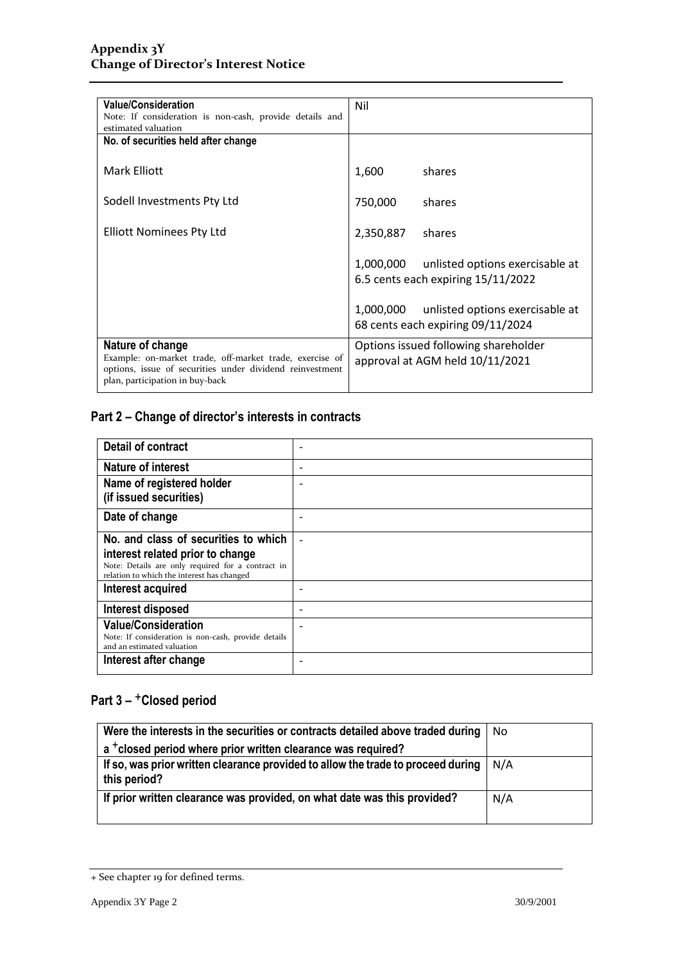| <b>Value/Consideration</b>                                                                                                                                                 | Nil       |                                                                                 |
|----------------------------------------------------------------------------------------------------------------------------------------------------------------------------|-----------|---------------------------------------------------------------------------------|
| Note: If consideration is non-cash, provide details and<br>estimated valuation                                                                                             |           |                                                                                 |
| No. of securities held after change                                                                                                                                        |           |                                                                                 |
| Mark Elliott                                                                                                                                                               | 1,600     | shares                                                                          |
| Sodell Investments Pty Ltd                                                                                                                                                 | 750,000   | shares                                                                          |
| Elliott Nominees Pty Ltd                                                                                                                                                   | 2,350,887 | shares                                                                          |
|                                                                                                                                                                            |           | 1,000,000 unlisted options exercisable at<br>6.5 cents each expiring 15/11/2022 |
|                                                                                                                                                                            | 1,000,000 | unlisted options exercisable at<br>68 cents each expiring 09/11/2024            |
| Nature of change<br>Example: on-market trade, off-market trade, exercise of<br>options, issue of securities under dividend reinvestment<br>plan, participation in buy-back |           | Options issued following shareholder<br>approval at AGM held 10/11/2021         |

| <b>Detail of contract</b>                                                                       |   |
|-------------------------------------------------------------------------------------------------|---|
| <b>Nature of interest</b>                                                                       | ۰ |
| Name of registered holder<br>(if issued securities)                                             |   |
| Date of change                                                                                  |   |
| No. and class of securities to which                                                            |   |
| interest related prior to change                                                                |   |
| Note: Details are only required for a contract in<br>relation to which the interest has changed |   |
| <b>Interest acquired</b>                                                                        |   |
| Interest disposed                                                                               |   |
| <b>Value/Consideration</b>                                                                      |   |
| Note: If consideration is non-cash, provide details<br>and an estimated valuation               |   |
| Interest after change                                                                           |   |

| Were the interests in the securities or contracts detailed above traded during                   | Nο  |
|--------------------------------------------------------------------------------------------------|-----|
| a <sup>+</sup> closed period where prior written clearance was required?                         |     |
| If so, was prior written clearance provided to allow the trade to proceed during<br>this period? | N/A |
| If prior written clearance was provided, on what date was this provided?                         | N/A |

<sup>+</sup> See chapter 19 for defined terms.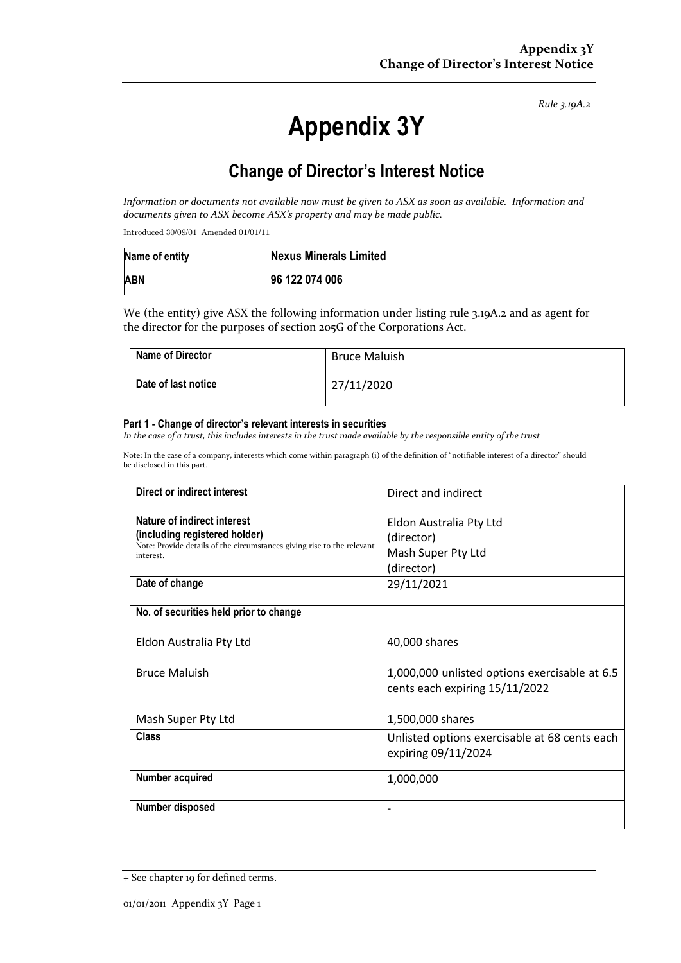# **Appendix 3Y**

## **Change of Director's Interest Notice**

*Information or documents not available now must be given to ASX as soon as available. Information and documents given to ASX become ASX's property and may be made public.*

Introduced 30/09/01 Amended 01/01/11

| Name of entity | <b>Nexus Minerals Limited</b> |
|----------------|-------------------------------|
| <b>ABN</b>     | 96 122 074 006                |

We (the entity) give ASX the following information under listing rule 3.19A.2 and as agent for the director for the purposes of section 205G of the Corporations Act.

| Name of Director    | <b>Bruce Maluish</b> |
|---------------------|----------------------|
| Date of last notice | 27/11/2020           |

#### **Part 1 - Change of director's relevant interests in securities**

*In the case of a trust, this includes interests in the trust made available by the responsible entity of the trust*

Note: In the case of a company, interests which come within paragraph (i) of the definition of "notifiable interest of a director" should be disclosed in this part.

| Direct or indirect interest                                                         | Direct and indirect                                                             |
|-------------------------------------------------------------------------------------|---------------------------------------------------------------------------------|
| Nature of indirect interest                                                         | Eldon Australia Pty Ltd                                                         |
| (including registered holder)                                                       | (director)                                                                      |
| Note: Provide details of the circumstances giving rise to the relevant<br>interest. | Mash Super Pty Ltd                                                              |
|                                                                                     | (director)                                                                      |
| Date of change                                                                      | 29/11/2021                                                                      |
| No. of securities held prior to change                                              |                                                                                 |
| Eldon Australia Pty Ltd                                                             | 40,000 shares                                                                   |
| <b>Bruce Maluish</b>                                                                | 1,000,000 unlisted options exercisable at 6.5<br>cents each expiring 15/11/2022 |
| Mash Super Pty Ltd                                                                  | 1,500,000 shares                                                                |
| Class                                                                               | Unlisted options exercisable at 68 cents each<br>expiring 09/11/2024            |
| Number acquired                                                                     | 1,000,000                                                                       |
| Number disposed                                                                     |                                                                                 |

<sup>+</sup> See chapter 19 for defined terms.